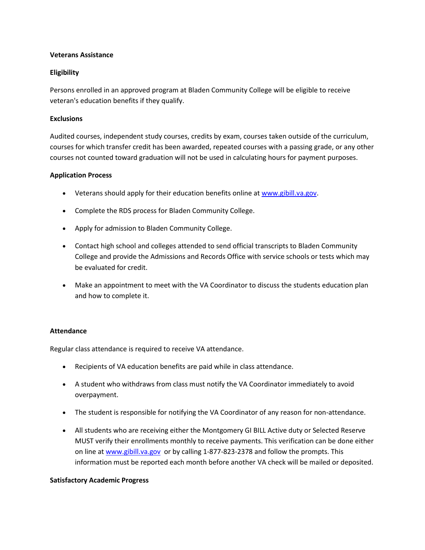## **Veterans Assistance**

## **Eligibility**

Persons enrolled in an approved program at Bladen Community College will be eligible to receive veteran's education benefits if they qualify.

## **Exclusions**

Audited courses, independent study courses, credits by exam, courses taken outside of the curriculum, courses for which transfer credit has been awarded, repeated courses with a passing grade, or any other courses not counted toward graduation will not be used in calculating hours for payment purposes.

### **Application Process**

- Veterans should apply for their education benefits online at [www.gibill.va.gov.](http://www.gibill.va.gov/)
- Complete the RDS process for Bladen Community College.
- Apply for admission to Bladen Community College.
- Contact high school and colleges attended to send official transcripts to Bladen Community College and provide the Admissions and Records Office with service schools or tests which may be evaluated for credit.
- Make an appointment to meet with the VA Coordinator to discuss the students education plan and how to complete it.

#### **Attendance**

Regular class attendance is required to receive VA attendance.

- Recipients of VA education benefits are paid while in class attendance.
- A student who withdraws from class must notify the VA Coordinator immediately to avoid overpayment.
- The student is responsible for notifying the VA Coordinator of any reason for non-attendance.
- All students who are receiving either the Montgomery GI BILL Active duty or Selected Reserve MUST verify their enrollments monthly to receive payments. This verification can be done either on line at [www.gibill.va.gov](http://www.gibill.va.gov/) or by calling 1-877-823-2378 and follow the prompts. This information must be reported each month before another VA check will be mailed or deposited.

#### **Satisfactory Academic Progress**